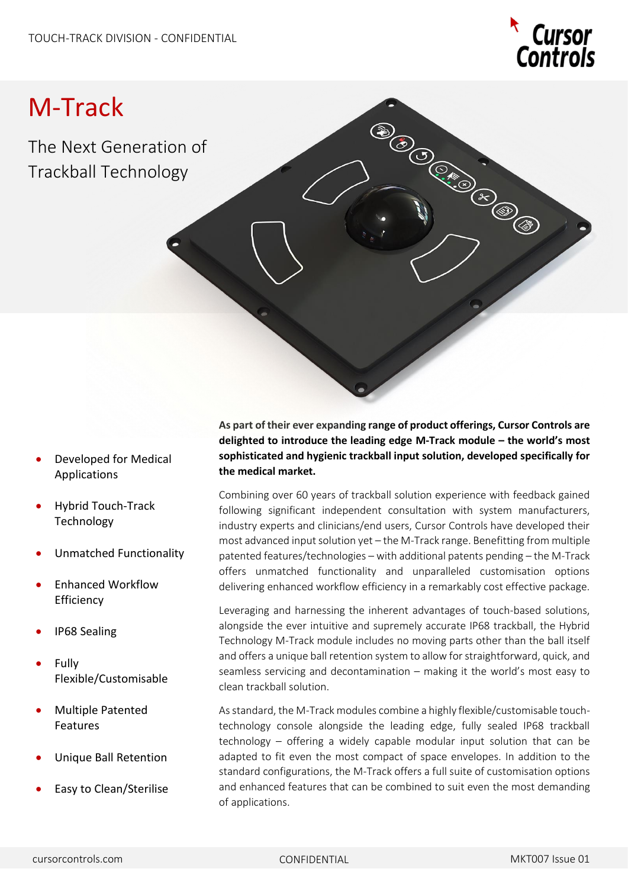

# M-Track

The Next Generation of Trackball Technology

- Developed for Medical Applications
- Hybrid Touch-Track Technology
- Unmatched Functionality
- Enhanced Workflow **Efficiency**
- IP68 Sealing
- **Fully** Flexible/Customisable
- Multiple Patented Features
- Unique Ball Retention
- Easy to Clean/Sterilise

**As part of their ever expanding range of product offerings, Cursor Controls are delighted to introduce the leading edge M-Track module – the world's most sophisticated and hygienic trackball input solution, developed specifically for the medical market.**

Combining over 60 years of trackball solution experience with feedback gained following significant independent consultation with system manufacturers, industry experts and clinicians/end users, Cursor Controls have developed their most advanced input solution yet – the M-Track range. Benefitting from multiple patented features/technologies – with additional patents pending – the M-Track offers unmatched functionality and unparalleled customisation options delivering enhanced workflow efficiency in a remarkably cost effective package.

Leveraging and harnessing the inherent advantages of touch-based solutions, alongside the ever intuitive and supremely accurate IP68 trackball, the Hybrid Technology M-Track module includes no moving parts other than the ball itself and offers a unique ball retention system to allow for straightforward, quick, and seamless servicing and decontamination – making it the world's most easy to clean trackball solution.

As standard, the M-Track modules combine a highly flexible/customisable touchtechnology console alongside the leading edge, fully sealed IP68 trackball technology – offering a widely capable modular input solution that can be adapted to fit even the most compact of space envelopes. In addition to the standard configurations, the M-Track offers a full suite of customisation options and enhanced features that can be combined to suit even the most demanding of applications.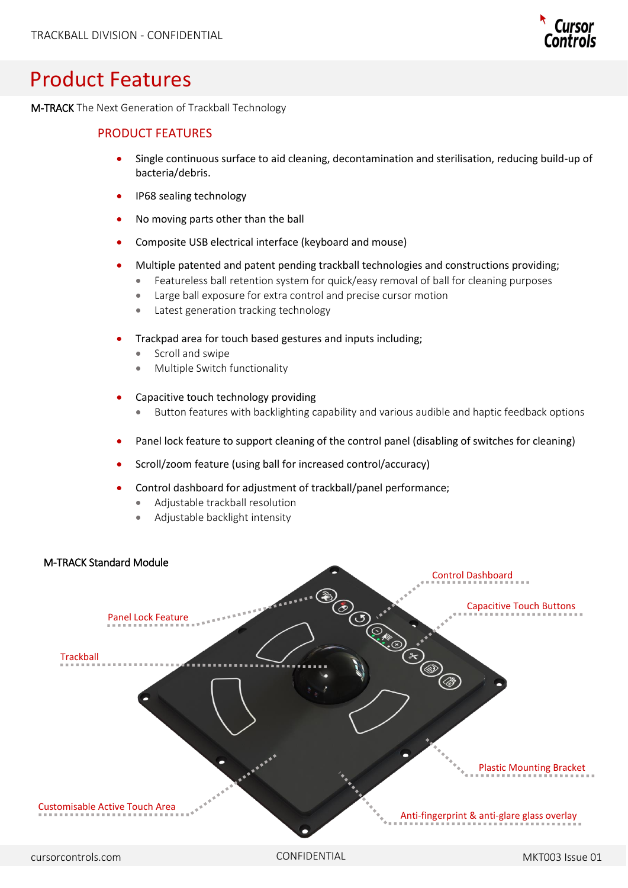

## Product Features

M-TRACK The Next Generation of Trackball Technology

### PRODUCT FEATURES

- Single continuous surface to aid cleaning, decontamination and sterilisation, reducing build-up of bacteria/debris.
- IP68 sealing technology
- No moving parts other than the ball
- Composite USB electrical interface (keyboard and mouse)
- Multiple patented and patent pending trackball technologies and constructions providing;
	- Featureless ball retention system for quick/easy removal of ball for cleaning purposes
	- Large ball exposure for extra control and precise cursor motion
	- Latest generation tracking technology
- Trackpad area for touch based gestures and inputs including;
	- Scroll and swipe
	- Multiple Switch functionality
- Capacitive touch technology providing
	- Button features with backlighting capability and various audible and haptic feedback options
- Panel lock feature to support cleaning of the control panel (disabling of switches for cleaning)
- Scroll/zoom feature (using ball for increased control/accuracy)
- Control dashboard for adjustment of trackball/panel performance;
	- Adjustable trackball resolution
	- Adjustable backlight intensity

#### M-TRACK Standard Module